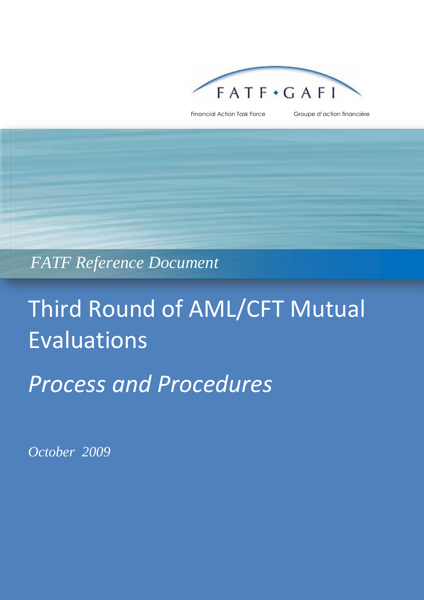

Financial Action Task Force Groupe d'action financière

## *FATF Reference Document*

# Third Round of AML/CFT Mutual Evaluations

## *Process and Procedures*

*October 2009*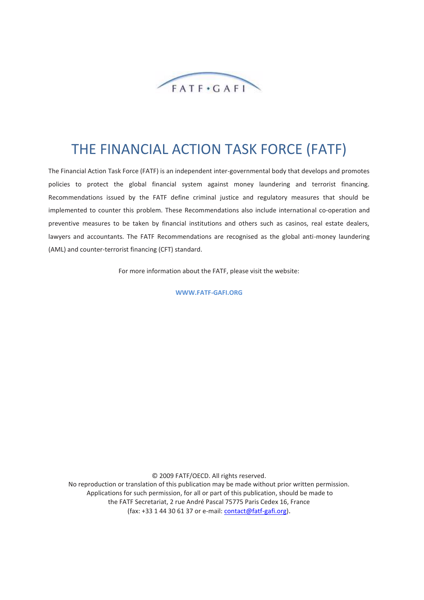

### THE FINANCIAL ACTION TASK FORCE (FATF)

The Financial Action Task Force (FATF) is an independent inter-governmental body that develops and promotes policies to protect the global financial system against money laundering and terrorist financing. Recommendations issued by the FATF define criminal justice and regulatory measures that should be implemented to counter this problem. These Recommendations also include international co-operation and preventive measures to be taken by financial institutions and others such as casinos, real estate dealers, lawyers and accountants. The FATF Recommendations are recognised as the global anti-money laundering (AML) and counter-terrorist financing (CFT) standard.

For more information about the FATF, please visit the website:

**WWW.FATF-GAFI.ORG**

© 2009 FATF/OECD. All rights reserved. No reproduction or translation of this publication may be made without prior written permission.

Applications for such permission, for all or part of this publication, should be made to the FATF Secretariat, 2 rue André Pascal 75775 Paris Cedex 16, France (fax: +33 1 44 30 61 37 or e-mail: [contact@fatf-gafi.org\)](mailto:contact@fatf-gafi.org).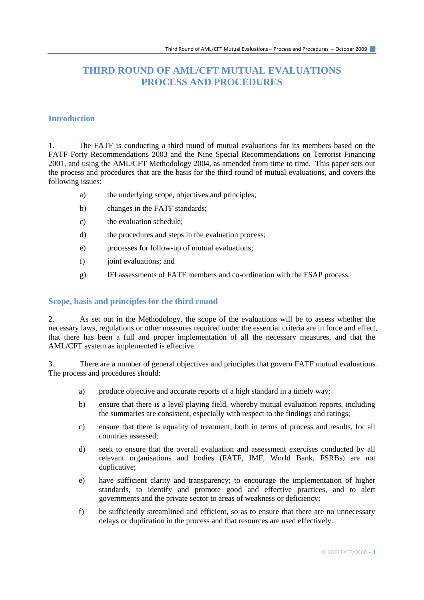#### **THIRD ROUND OF AML/CFT MUTUAL EVALUATIONS PROCESS AND PROCEDURES**

#### **Introduction**

1. The FATF is conducting a third round of mutual evaluations for its members based on the FATF Forty Recommendations 2003 and the Nine Special Recommendations on Terrorist Financing 2001, and using the AML/CFT Methodology 2004, as amended from time to time. This paper sets out the process and procedures that are the basis for the third round of mutual evaluations, and covers the following issues:

- a) the underlying scope, objectives and principles;
- b) changes in the FATF standards;
- c) the evaluation schedule;
- d) the procedures and steps in the evaluation process;
- e) processes for follow-up of mutual evaluations;
- f) joint evaluations; and
- g) IFI assessments of FATF members and co-ordination with the FSAP process.

#### **Scope, basis and principles for the third round**

2. As set out in the Methodology, the scope of the evaluations will be to assess whether the necessary laws, regulations or other measures required under the essential criteria are in force and effect, that there has been a full and proper implementation of all the necessary measures, and that the AML/CFT system as implemented is effective.

3. There are a number of general objectives and principles that govern FATF mutual evaluations. The process and procedures should:

- a) produce objective and accurate reports of a high standard in a timely way;
- b) ensure that there is a level playing field, whereby mutual evaluation reports, including the summaries are consistent, especially with respect to the findings and ratings;
- c) ensure that there is equality of treatment, both in terms of process and results, for all countries assessed;
- d) seek to ensure that the overall evaluation and assessment exercises conducted by all relevant organisations and bodies (FATF, IMF, World Bank, FSRBs) are not duplicative;
- e) have sufficient clarity and transparency; to encourage the implementation of higher standards, to identify and promote good and effective practices, and to alert governments and the private sector to areas of weakness or deficiency;
- f) be sufficiently streamlined and efficient, so as to ensure that there are no unnecessary delays or duplication in the process and that resources are used effectively.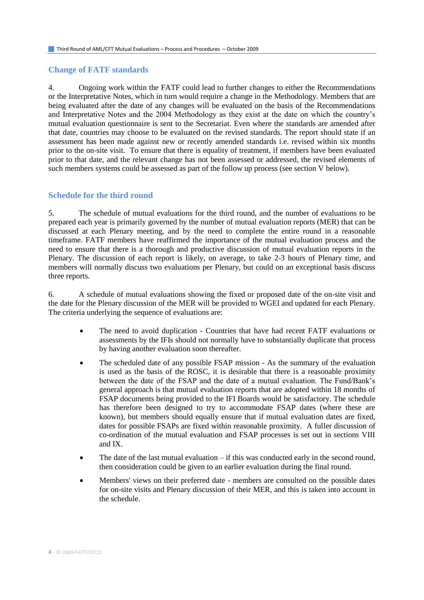#### **Change of FATF standards**

4. Ongoing work within the FATF could lead to further changes to either the Recommendations or the Interpretative Notes, which in turn would require a change in the Methodology. Members that are being evaluated after the date of any changes will be evaluated on the basis of the Recommendations and Interpretative Notes and the 2004 Methodology as they exist at the date on which the country's mutual evaluation questionnaire is sent to the Secretariat. Even where the standards are amended after that date, countries may choose to be evaluated on the revised standards. The report should state if an assessment has been made against new or recently amended standards i.e. revised within six months prior to the on-site visit. To ensure that there is equality of treatment, if members have been evaluated prior to that date, and the relevant change has not been assessed or addressed, the revised elements of such members systems could be assessed as part of the follow up process (see section V below).

#### **Schedule for the third round**

5. The schedule of mutual evaluations for the third round, and the number of evaluations to be prepared each year is primarily governed by the number of mutual evaluation reports (MER) that can be discussed at each Plenary meeting, and by the need to complete the entire round in a reasonable timeframe. FATF members have reaffirmed the importance of the mutual evaluation process and the need to ensure that there is a thorough and productive discussion of mutual evaluation reports in the Plenary. The discussion of each report is likely, on average, to take 2-3 hours of Plenary time, and members will normally discuss two evaluations per Plenary, but could on an exceptional basis discuss three reports.

6. A schedule of mutual evaluations showing the fixed or proposed date of the on-site visit and the date for the Plenary discussion of the MER will be provided to WGEI and updated for each Plenary. The criteria underlying the sequence of evaluations are:

- The need to avoid duplication Countries that have had recent FATF evaluations or assessments by the IFIs should not normally have to substantially duplicate that process by having another evaluation soon thereafter.
- The scheduled date of any possible FSAP mission As the summary of the evaluation is used as the basis of the ROSC, it is desirable that there is a reasonable proximity between the date of the FSAP and the date of a mutual evaluation. The Fund/Bank's general approach is that mutual evaluation reports that are adopted within 18 months of FSAP documents being provided to the IFI Boards would be satisfactory. The schedule has therefore been designed to try to accommodate FSAP dates (where these are known), but members should equally ensure that if mutual evaluation dates are fixed, dates for possible FSAPs are fixed within reasonable proximity. A fuller discussion of co-ordination of the mutual evaluation and FSAP processes is set out in sections VIII and IX.
- The date of the last mutual evaluation  $-$  if this was conducted early in the second round, then consideration could be given to an earlier evaluation during the final round.
- Members' views on their preferred date members are consulted on the possible dates for on-site visits and Plenary discussion of their MER, and this is taken into account in the schedule.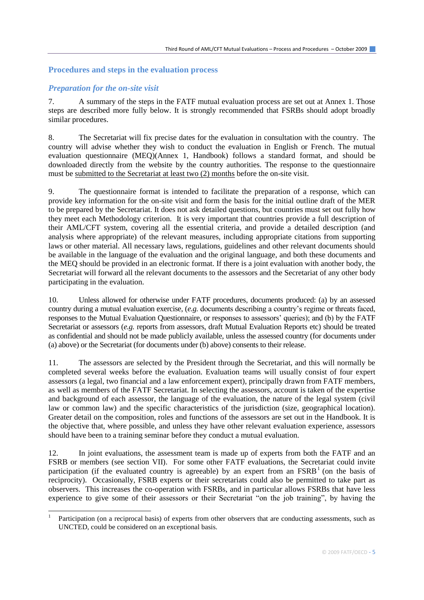#### **Procedures and steps in the evaluation process**

#### *Preparation for the on-site visit*

l

7. A summary of the steps in the FATF mutual evaluation process are set out at Annex 1. Those steps are described more fully below. It is strongly recommended that FSRBs should adopt broadly similar procedures.

8. The Secretariat will fix precise dates for the evaluation in consultation with the country. The country will advise whether they wish to conduct the evaluation in English or French. The mutual evaluation questionnaire (MEQ)(Annex 1, Handbook) follows a standard format, and should be downloaded directly from the website by the country authorities. The response to the questionnaire must be submitted to the Secretariat at least two (2) months before the on-site visit.

9. The questionnaire format is intended to facilitate the preparation of a response, which can provide key information for the on-site visit and form the basis for the initial outline draft of the MER to be prepared by the Secretariat. It does not ask detailed questions, but countries must set out fully how they meet each Methodology criterion. It is very important that countries provide a full description of their AML/CFT system, covering all the essential criteria, and provide a detailed description (and analysis where appropriate) of the relevant measures, including appropriate citations from supporting laws or other material. All necessary laws, regulations, guidelines and other relevant documents should be available in the language of the evaluation and the original language, and both these documents and the MEQ should be provided in an electronic format. If there is a joint evaluation with another body, the Secretariat will forward all the relevant documents to the assessors and the Secretariat of any other body participating in the evaluation.

10. Unless allowed for otherwise under FATF procedures, documents produced: (a) by an assessed country during a mutual evaluation exercise, (*e.g.* documents describing a country's regime or threats faced, responses to the Mutual Evaluation Questionnaire, or responses to assessors' queries); and (b) by the FATF Secretariat or assessors (*e.g.* reports from assessors, draft Mutual Evaluation Reports etc) should be treated as confidential and should not be made publicly available, unless the assessed country (for documents under (a) above) or the Secretariat (for documents under (b) above) consents to their release.

11. The assessors are selected by the President through the Secretariat, and this will normally be completed several weeks before the evaluation. Evaluation teams will usually consist of four expert assessors (a legal, two financial and a law enforcement expert), principally drawn from FATF members, as well as members of the FATF Secretariat. In selecting the assessors, account is taken of the expertise and background of each assessor, the language of the evaluation, the nature of the legal system (civil law or common law) and the specific characteristics of the jurisdiction (size, geographical location). Greater detail on the composition, roles and functions of the assessors are set out in the Handbook. It is the objective that, where possible, and unless they have other relevant evaluation experience, assessors should have been to a training seminar before they conduct a mutual evaluation.

12. In joint evaluations, the assessment team is made up of experts from both the FATF and an FSRB or members (see section VII). For some other FATF evaluations, the Secretariat could invite participation (if the evaluated country is agreeable) by an expert from an  $FSRB<sup>1</sup>$  (on the basis of reciprocity). Occasionally, FSRB experts or their secretariats could also be permitted to take part as observers. This increases the co-operation with FSRBs, and in particular allows FSRBs that have less experience to give some of their assessors or their Secretariat "on the job training", by having the

<sup>1</sup> Participation (on a reciprocal basis) of experts from other observers that are conducting assessments, such as UNCTED, could be considered on an exceptional basis.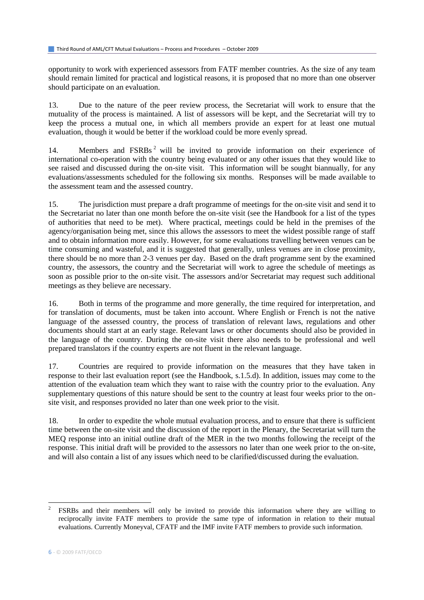opportunity to work with experienced assessors from FATF member countries. As the size of any team should remain limited for practical and logistical reasons, it is proposed that no more than one observer should participate on an evaluation.

13. Due to the nature of the peer review process, the Secretariat will work to ensure that the mutuality of the process is maintained. A list of assessors will be kept, and the Secretariat will try to keep the process a mutual one, in which all members provide an expert for at least one mutual evaluation, though it would be better if the workload could be more evenly spread.

14. Members and FSRBs<sup>2</sup> will be invited to provide information on their experience of international co-operation with the country being evaluated or any other issues that they would like to see raised and discussed during the on-site visit. This information will be sought biannually, for any evaluations/assessments scheduled for the following six months. Responses will be made available to the assessment team and the assessed country.

15. The jurisdiction must prepare a draft programme of meetings for the on-site visit and send it to the Secretariat no later than one month before the on-site visit (see the Handbook for a list of the types of authorities that need to be met). Where practical, meetings could be held in the premises of the agency/organisation being met, since this allows the assessors to meet the widest possible range of staff and to obtain information more easily. However, for some evaluations travelling between venues can be time consuming and wasteful, and it is suggested that generally, unless venues are in close proximity, there should be no more than 2-3 venues per day. Based on the draft programme sent by the examined country, the assessors, the country and the Secretariat will work to agree the schedule of meetings as soon as possible prior to the on-site visit. The assessors and/or Secretariat may request such additional meetings as they believe are necessary.

16. Both in terms of the programme and more generally, the time required for interpretation, and for translation of documents, must be taken into account. Where English or French is not the native language of the assessed country, the process of translation of relevant laws, regulations and other documents should start at an early stage. Relevant laws or other documents should also be provided in the language of the country. During the on-site visit there also needs to be professional and well prepared translators if the country experts are not fluent in the relevant language.

17. Countries are required to provide information on the measures that they have taken in response to their last evaluation report (see the Handbook, s.1.5.d). In addition, issues may come to the attention of the evaluation team which they want to raise with the country prior to the evaluation. Any supplementary questions of this nature should be sent to the country at least four weeks prior to the onsite visit, and responses provided no later than one week prior to the visit.

18. In order to expedite the whole mutual evaluation process, and to ensure that there is sufficient time between the on-site visit and the discussion of the report in the Plenary, the Secretariat will turn the MEQ response into an initial outline draft of the MER in the two months following the receipt of the response. This initial draft will be provided to the assessors no later than one week prior to the on-site, and will also contain a list of any issues which need to be clarified/discussed during the evaluation.

l 2 FSRBs and their members will only be invited to provide this information where they are willing to reciprocally invite FATF members to provide the same type of information in relation to their mutual evaluations. Currently Moneyval, CFATF and the IMF invite FATF members to provide such information.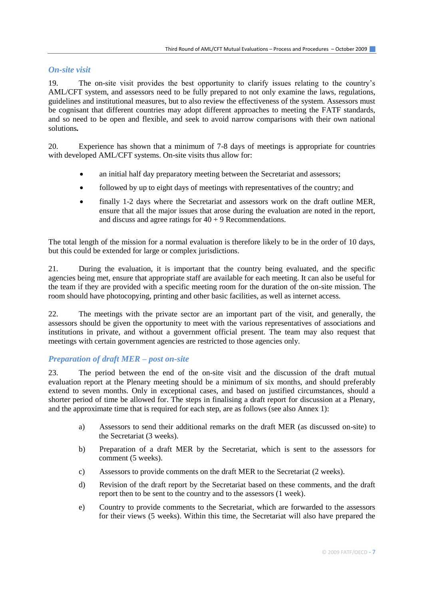#### *On-site visit*

19. The on-site visit provides the best opportunity to clarify issues relating to the country's AML/CFT system, and assessors need to be fully prepared to not only examine the laws, regulations, guidelines and institutional measures, but to also review the effectiveness of the system. Assessors must be cognisant that different countries may adopt different approaches to meeting the FATF standards, and so need to be open and flexible, and seek to avoid narrow comparisons with their own national solutions*.* 

20. Experience has shown that a minimum of 7-8 days of meetings is appropriate for countries with developed AML/CFT systems. On-site visits thus allow for:

- an initial half day preparatory meeting between the Secretariat and assessors;
- followed by up to eight days of meetings with representatives of the country; and
- finally 1-2 days where the Secretariat and assessors work on the draft outline MER, ensure that all the major issues that arose during the evaluation are noted in the report, and discuss and agree ratings for  $40 + 9$  Recommendations.

The total length of the mission for a normal evaluation is therefore likely to be in the order of 10 days, but this could be extended for large or complex jurisdictions.

21. During the evaluation, it is important that the country being evaluated, and the specific agencies being met, ensure that appropriate staff are available for each meeting. It can also be useful for the team if they are provided with a specific meeting room for the duration of the on-site mission. The room should have photocopying, printing and other basic facilities, as well as internet access.

22. The meetings with the private sector are an important part of the visit, and generally, the assessors should be given the opportunity to meet with the various representatives of associations and institutions in private, and without a government official present. The team may also request that meetings with certain government agencies are restricted to those agencies only.

#### *Preparation of draft MER – post on-site*

23. The period between the end of the on-site visit and the discussion of the draft mutual evaluation report at the Plenary meeting should be a minimum of six months, and should preferably extend to seven months. Only in exceptional cases, and based on justified circumstances, should a shorter period of time be allowed for. The steps in finalising a draft report for discussion at a Plenary, and the approximate time that is required for each step, are as follows (see also Annex 1):

- a) Assessors to send their additional remarks on the draft MER (as discussed on-site) to the Secretariat (3 weeks).
- b) Preparation of a draft MER by the Secretariat, which is sent to the assessors for comment (5 weeks).
- c) Assessors to provide comments on the draft MER to the Secretariat (2 weeks).
- d) Revision of the draft report by the Secretariat based on these comments, and the draft report then to be sent to the country and to the assessors (1 week).
- e) Country to provide comments to the Secretariat, which are forwarded to the assessors for their views (5 weeks). Within this time, the Secretariat will also have prepared the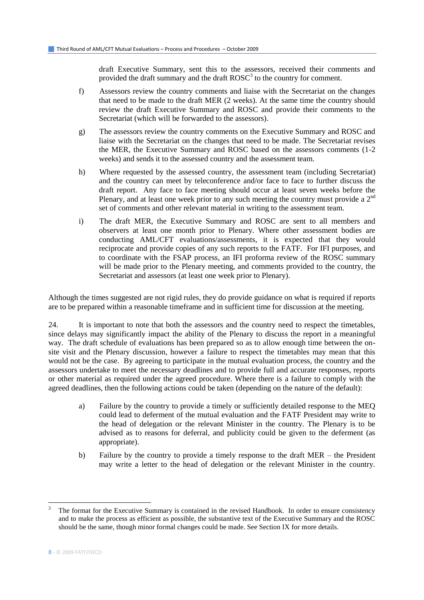draft Executive Summary, sent this to the assessors, received their comments and provided the draft summary and the draft  $\text{ROSC}^3$  to the country for comment.

- f) Assessors review the country comments and liaise with the Secretariat on the changes that need to be made to the draft MER (2 weeks). At the same time the country should review the draft Executive Summary and ROSC and provide their comments to the Secretariat (which will be forwarded to the assessors).
- g) The assessors review the country comments on the Executive Summary and ROSC and liaise with the Secretariat on the changes that need to be made. The Secretariat revises the MER, the Executive Summary and ROSC based on the assessors comments (1-2 weeks) and sends it to the assessed country and the assessment team.
- h) Where requested by the assessed country, the assessment team (including Secretariat) and the country can meet by teleconference and/or face to face to further discuss the draft report. Any face to face meeting should occur at least seven weeks before the Plenary, and at least one week prior to any such meeting the country must provide a  $2<sup>nd</sup>$ set of comments and other relevant material in writing to the assessment team.
- i) The draft MER, the Executive Summary and ROSC are sent to all members and observers at least one month prior to Plenary. Where other assessment bodies are conducting AML/CFT evaluations/assessments, it is expected that they would reciprocate and provide copies of any such reports to the FATF. For IFI purposes, and to coordinate with the FSAP process, an IFI proforma review of the ROSC summary will be made prior to the Plenary meeting, and comments provided to the country, the Secretariat and assessors (at least one week prior to Plenary).

Although the times suggested are not rigid rules, they do provide guidance on what is required if reports are to be prepared within a reasonable timeframe and in sufficient time for discussion at the meeting.

24. It is important to note that both the assessors and the country need to respect the timetables, since delays may significantly impact the ability of the Plenary to discuss the report in a meaningful way. The draft schedule of evaluations has been prepared so as to allow enough time between the onsite visit and the Plenary discussion, however a failure to respect the timetables may mean that this would not be the case. By agreeing to participate in the mutual evaluation process, the country and the assessors undertake to meet the necessary deadlines and to provide full and accurate responses, reports or other material as required under the agreed procedure. Where there is a failure to comply with the agreed deadlines, then the following actions could be taken (depending on the nature of the default):

- a) Failure by the country to provide a timely or sufficiently detailed response to the MEQ could lead to deferment of the mutual evaluation and the FATF President may write to the head of delegation or the relevant Minister in the country. The Plenary is to be advised as to reasons for deferral, and publicity could be given to the deferment (as appropriate).
- b) Failure by the country to provide a timely response to the draft MER the President may write a letter to the head of delegation or the relevant Minister in the country.

l

<sup>3</sup> The format for the Executive Summary is contained in the revised Handbook. In order to ensure consistency and to make the process as efficient as possible, the substantive text of the Executive Summary and the ROSC should be the same, though minor formal changes could be made. See Section IX for more details.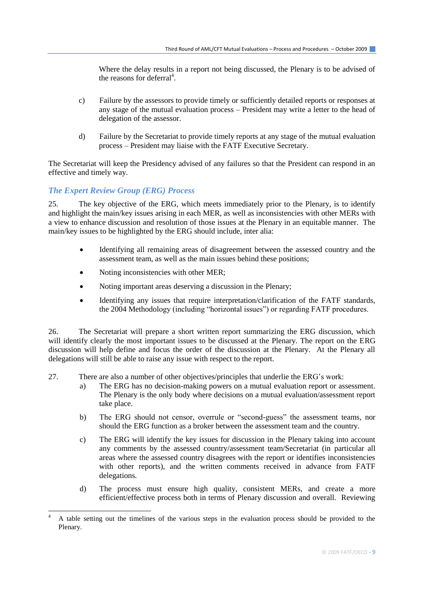Where the delay results in a report not being discussed, the Plenary is to be advised of the reasons for deferral<sup>4</sup>.

- c) Failure by the assessors to provide timely or sufficiently detailed reports or responses at any stage of the mutual evaluation process – President may write a letter to the head of delegation of the assessor.
- d) Failure by the Secretariat to provide timely reports at any stage of the mutual evaluation process – President may liaise with the FATF Executive Secretary.

The Secretariat will keep the Presidency advised of any failures so that the President can respond in an effective and timely way.

#### *The Expert Review Group (ERG) Process*

l

25. The key objective of the ERG, which meets immediately prior to the Plenary, is to identify and highlight the main/key issues arising in each MER, as well as inconsistencies with other MERs with a view to enhance discussion and resolution of those issues at the Plenary in an equitable manner. The main/key issues to be highlighted by the ERG should include, inter alia:

- Identifying all remaining areas of disagreement between the assessed country and the assessment team, as well as the main issues behind these positions;
- Noting inconsistencies with other MER;
- Noting important areas deserving a discussion in the Plenary;
- Identifying any issues that require interpretation/clarification of the FATF standards, the 2004 Methodology (including "horizontal issues") or regarding FATF procedures.

26. The Secretariat will prepare a short written report summarizing the ERG discussion, which will identify clearly the most important issues to be discussed at the Plenary. The report on the ERG discussion will help define and focus the order of the discussion at the Plenary. At the Plenary all delegations will still be able to raise any issue with respect to the report.

- 27. There are also a number of other objectives/principles that underlie the ERG's work:
	- a) The ERG has no decision-making powers on a mutual evaluation report or assessment. The Plenary is the only body where decisions on a mutual evaluation/assessment report take place.
	- b) The ERG should not censor, overrule or "second-guess" the assessment teams, nor should the ERG function as a broker between the assessment team and the country.
	- c) The ERG will identify the key issues for discussion in the Plenary taking into account any comments by the assessed country/assessment team/Secretariat (in particular all areas where the assessed country disagrees with the report or identifies inconsistencies with other reports), and the written comments received in advance from FATF delegations.
	- d) The process must ensure high quality, consistent MERs, and create a more efficient/effective process both in terms of Plenary discussion and overall. Reviewing

<sup>4</sup> A table setting out the timelines of the various steps in the evaluation process should be provided to the Plenary.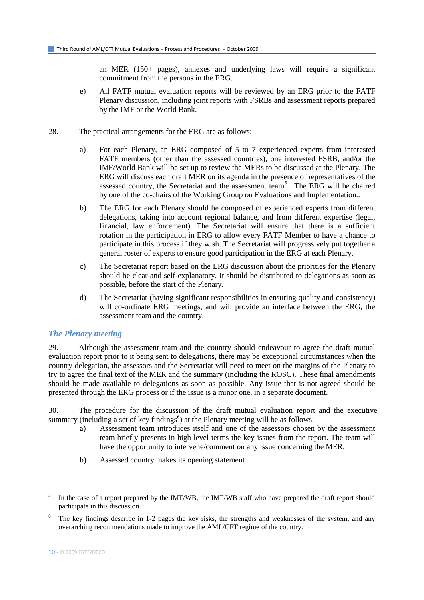an MER (150+ pages), annexes and underlying laws will require a significant commitment from the persons in the ERG.

- e) All FATF mutual evaluation reports will be reviewed by an ERG prior to the FATF Plenary discussion, including joint reports with FSRBs and assessment reports prepared by the IMF or the World Bank.
- 28. The practical arrangements for the ERG are as follows:
	- a) For each Plenary, an ERG composed of 5 to 7 experienced experts from interested FATF members (other than the assessed countries), one interested FSRB, and/or the IMF/World Bank will be set up to review the MERs to be discussed at the Plenary. The ERG will discuss each draft MER on its agenda in the presence of representatives of the assessed country, the Secretariat and the assessment team<sup>5</sup>. The ERG will be chaired by one of the co-chairs of the Working Group on Evaluations and Implementation..
	- b) The ERG for each Plenary should be composed of experienced experts from different delegations, taking into account regional balance, and from different expertise (legal, financial, law enforcement). The Secretariat will ensure that there is a sufficient rotation in the participation in ERG to allow every FATF Member to have a chance to participate in this process if they wish. The Secretariat will progressively put together a general roster of experts to ensure good participation in the ERG at each Plenary.
	- c) The Secretariat report based on the ERG discussion about the priorities for the Plenary should be clear and self-explanatory. It should be distributed to delegations as soon as possible, before the start of the Plenary.
	- d) The Secretariat (having significant responsibilities in ensuring quality and consistency) will co-ordinate ERG meetings, and will provide an interface between the ERG, the assessment team and the country.

#### *The Plenary meeting*

29. Although the assessment team and the country should endeavour to agree the draft mutual evaluation report prior to it being sent to delegations, there may be exceptional circumstances when the country delegation, the assessors and the Secretariat will need to meet on the margins of the Plenary to try to agree the final text of the MER and the summary (including the ROSC). These final amendments should be made available to delegations as soon as possible. Any issue that is not agreed should be presented through the ERG process or if the issue is a minor one, in a separate document.

30. The procedure for the discussion of the draft mutual evaluation report and the executive summary (including a set of key findings<sup>6</sup>) at the Plenary meeting will be as follows:

- a) Assessment team introduces itself and one of the assessors chosen by the assessment team briefly presents in high level terms the key issues from the report. The team will have the opportunity to intervene/comment on any issue concerning the MER.
- b) Assessed country makes its opening statement

 $\overline{a}$ 

<sup>5</sup> In the case of a report prepared by the IMF/WB, the IMF/WB staff who have prepared the draft report should participate in this discussion.

 $6\degree$  The key findings describe in 1-2 pages the key risks, the strengths and weaknesses of the system, and any overarching recommendations made to improve the AML/CFT regime of the country.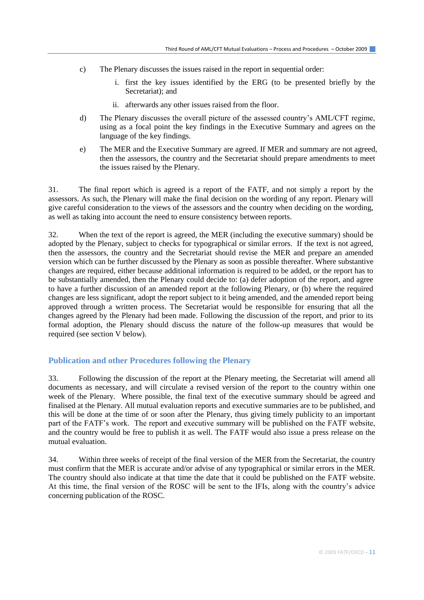- c) The Plenary discusses the issues raised in the report in sequential order:
	- i. first the key issues identified by the ERG (to be presented briefly by the Secretariat); and
	- ii. afterwards any other issues raised from the floor.
- d) The Plenary discusses the overall picture of the assessed country's AML/CFT regime, using as a focal point the key findings in the Executive Summary and agrees on the language of the key findings.
- e) The MER and the Executive Summary are agreed. If MER and summary are not agreed, then the assessors, the country and the Secretariat should prepare amendments to meet the issues raised by the Plenary.

31. The final report which is agreed is a report of the FATF, and not simply a report by the assessors. As such, the Plenary will make the final decision on the wording of any report. Plenary will give careful consideration to the views of the assessors and the country when deciding on the wording, as well as taking into account the need to ensure consistency between reports.

32. When the text of the report is agreed, the MER (including the executive summary) should be adopted by the Plenary, subject to checks for typographical or similar errors. If the text is not agreed, then the assessors, the country and the Secretariat should revise the MER and prepare an amended version which can be further discussed by the Plenary as soon as possible thereafter. Where substantive changes are required, either because additional information is required to be added, or the report has to be substantially amended, then the Plenary could decide to: (a) defer adoption of the report, and agree to have a further discussion of an amended report at the following Plenary, or (b) where the required changes are less significant, adopt the report subject to it being amended, and the amended report being approved through a written process. The Secretariat would be responsible for ensuring that all the changes agreed by the Plenary had been made. Following the discussion of the report, and prior to its formal adoption, the Plenary should discuss the nature of the follow-up measures that would be required (see section V below).

#### **Publication and other Procedures following the Plenary**

33. Following the discussion of the report at the Plenary meeting, the Secretariat will amend all documents as necessary, and will circulate a revised version of the report to the country within one week of the Plenary. Where possible, the final text of the executive summary should be agreed and finalised at the Plenary. All mutual evaluation reports and executive summaries are to be published, and this will be done at the time of or soon after the Plenary, thus giving timely publicity to an important part of the FATF's work. The report and executive summary will be published on the FATF website, and the country would be free to publish it as well. The FATF would also issue a press release on the mutual evaluation.

34. Within three weeks of receipt of the final version of the MER from the Secretariat, the country must confirm that the MER is accurate and/or advise of any typographical or similar errors in the MER. The country should also indicate at that time the date that it could be published on the FATF website. At this time, the final version of the ROSC will be sent to the IFIs, along with the country's advice concerning publication of the ROSC.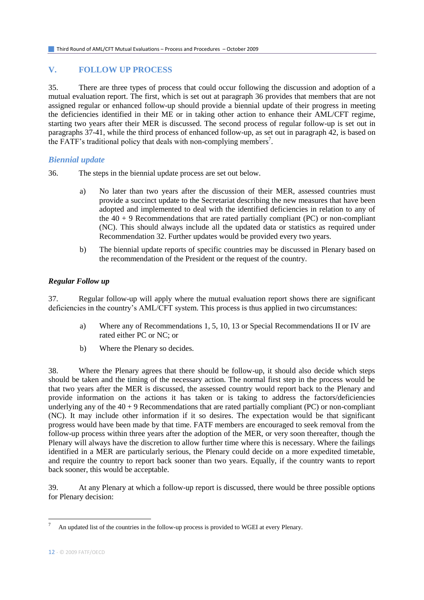#### **V. FOLLOW UP PROCESS**

35. There are three types of process that could occur following the discussion and adoption of a mutual evaluation report. The first, which is set out at paragraph 36 provides that members that are not assigned regular or enhanced follow-up should provide a biennial update of their progress in meeting the deficiencies identified in their ME or in taking other action to enhance their AML/CFT regime, starting two years after their MER is discussed. The second process of regular follow-up is set out in paragraphs 37-41, while the third process of enhanced follow-up, as set out in paragraph 42, is based on the FATF's traditional policy that deals with non-complying members<sup>7</sup>.

#### *Biennial update*

- 36. The steps in the biennial update process are set out below.
	- a) No later than two years after the discussion of their MER, assessed countries must provide a succinct update to the Secretariat describing the new measures that have been adopted and implemented to deal with the identified deficiencies in relation to any of the  $40 + 9$  Recommendations that are rated partially compliant (PC) or non-compliant (NC). This should always include all the updated data or statistics as required under Recommendation 32. Further updates would be provided every two years.
	- b) The biennial update reports of specific countries may be discussed in Plenary based on the recommendation of the President or the request of the country.

#### *Regular Follow up*

37. Regular follow-up will apply where the mutual evaluation report shows there are significant deficiencies in the country's AML/CFT system. This process is thus applied in two circumstances:

- a) Where any of Recommendations 1, 5, 10, 13 or Special Recommendations II or IV are rated either PC or NC; or
- b) Where the Plenary so decides.

38. Where the Plenary agrees that there should be follow-up, it should also decide which steps should be taken and the timing of the necessary action. The normal first step in the process would be that two years after the MER is discussed, the assessed country would report back to the Plenary and provide information on the actions it has taken or is taking to address the factors/deficiencies underlying any of the  $40 + 9$  Recommendations that are rated partially compliant (PC) or non-compliant (NC). It may include other information if it so desires. The expectation would be that significant progress would have been made by that time. FATF members are encouraged to seek removal from the follow-up process within three years after the adoption of the MER, or very soon thereafter, though the Plenary will always have the discretion to allow further time where this is necessary. Where the failings identified in a MER are particularly serious, the Plenary could decide on a more expedited timetable, and require the country to report back sooner than two years. Equally, if the country wants to report back sooner, this would be acceptable.

39. At any Plenary at which a follow-up report is discussed, there would be three possible options for Plenary decision:

l

<sup>7</sup> An updated list of the countries in the follow-up process is provided to WGEI at every Plenary.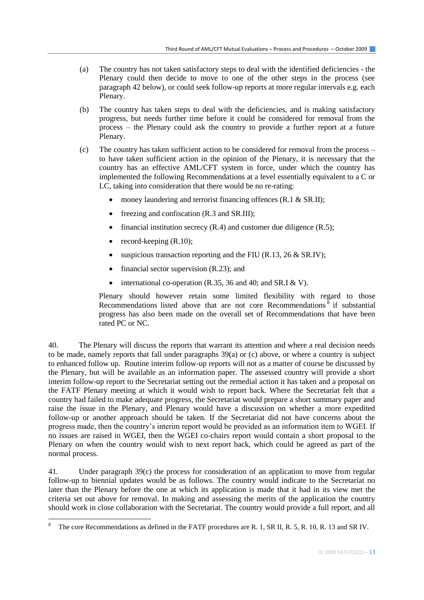- (a) The country has not taken satisfactory steps to deal with the identified deficiencies the Plenary could then decide to move to one of the other steps in the process (see paragraph 42 below), or could seek follow-up reports at more regular intervals e.g. each Plenary.
- (b) The country has taken steps to deal with the deficiencies, and is making satisfactory progress, but needs further time before it could be considered for removal from the process – the Plenary could ask the country to provide a further report at a future Plenary.
- (c) The country has taken sufficient action to be considered for removal from the process to have taken sufficient action in the opinion of the Plenary, it is necessary that the country has an effective AML/CFT system in force, under which the country has implemented the following Recommendations at a level essentially equivalent to a C or LC, taking into consideration that there would be no re-rating:
	- money laundering and terrorist financing offences (R.1 & SR.II);
	- freezing and confiscation (R.3 and SR.III);
	- financial institution secrecy  $(R.4)$  and customer due diligence  $(R.5)$ ;
	- record-keeping  $(R.10)$ ;

l

- suspicious transaction reporting and the FIU (R.13, 26  $\&$  SR.IV);
- financial sector supervision  $(R.23)$ ; and
- $\bullet$  international co-operation (R.35, 36 and 40; and SR.I & V).

Plenary should however retain some limited flexibility with regard to those Recommendations listed above that are not core Recommendations <sup>8</sup> if substantial progress has also been made on the overall set of Recommendations that have been rated PC or NC.

40. The Plenary will discuss the reports that warrant its attention and where a real decision needs to be made, namely reports that fall under paragraphs 39(a) or (c) above, or where a country is subject to enhanced follow up. Routine interim follow-up reports will not as a matter of course be discussed by the Plenary, but will be available as an information paper. The assessed country will provide a short interim follow-up report to the Secretariat setting out the remedial action it has taken and a proposal on the FATF Plenary meeting at which it would wish to report back. Where the Secretariat felt that a country had failed to make adequate progress, the Secretariat would prepare a short summary paper and raise the issue in the Plenary, and Plenary would have a discussion on whether a more expedited follow-up or another approach should be taken. If the Secretariat did not have concerns about the progress made, then the country's interim report would be provided as an information item to WGEI. If no issues are raised in WGEI, then the WGEI co-chairs report would contain a short proposal to the Plenary on when the country would wish to next report back, which could be agreed as part of the normal process.

41. Under paragraph 39(c) the process for consideration of an application to move from regular follow-up to biennial updates would be as follows. The country would indicate to the Secretariat no later than the Plenary before the one at which its application is made that it had in its view met the criteria set out above for removal. In making and assessing the merits of the application the country should work in close collaboration with the Secretariat. The country would provide a full report, and all

The core Recommendations as defined in the FATF procedures are R. 1, SR II, R. 5, R. 10, R. 13 and SR IV.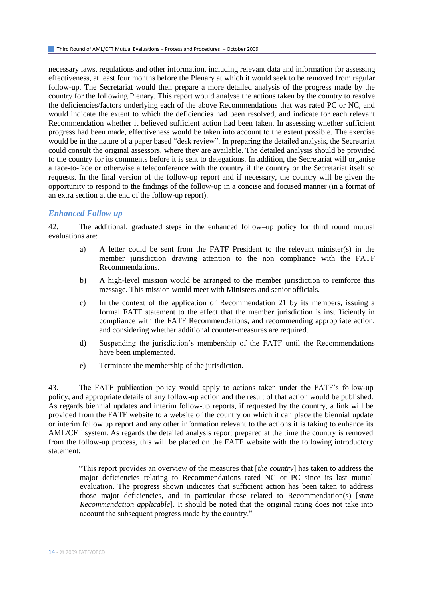necessary laws, regulations and other information, including relevant data and information for assessing effectiveness, at least four months before the Plenary at which it would seek to be removed from regular follow-up. The Secretariat would then prepare a more detailed analysis of the progress made by the country for the following Plenary. This report would analyse the actions taken by the country to resolve the deficiencies/factors underlying each of the above Recommendations that was rated PC or NC, and would indicate the extent to which the deficiencies had been resolved, and indicate for each relevant Recommendation whether it believed sufficient action had been taken. In assessing whether sufficient progress had been made, effectiveness would be taken into account to the extent possible. The exercise would be in the nature of a paper based "desk review". In preparing the detailed analysis, the Secretariat could consult the original assessors, where they are available. The detailed analysis should be provided to the country for its comments before it is sent to delegations. In addition, the Secretariat will organise a face-to-face or otherwise a teleconference with the country if the country or the Secretariat itself so requests. In the final version of the follow-up report and if necessary, the country will be given the opportunity to respond to the findings of the follow-up in a concise and focused manner (in a format of an extra section at the end of the follow-up report).

#### *Enhanced Follow up*

42. The additional, graduated steps in the enhanced follow–up policy for third round mutual evaluations are:

- a) A letter could be sent from the FATF President to the relevant minister(s) in the member jurisdiction drawing attention to the non compliance with the FATF Recommendations.
- b) A high-level mission would be arranged to the member jurisdiction to reinforce this message. This mission would meet with Ministers and senior officials.
- c) In the context of the application of Recommendation 21 by its members, issuing a formal FATF statement to the effect that the member jurisdiction is insufficiently in compliance with the FATF Recommendations, and recommending appropriate action, and considering whether additional counter-measures are required.
- d) Suspending the jurisdiction's membership of the FATF until the Recommendations have been implemented.
- e) Terminate the membership of the jurisdiction.

43. The FATF publication policy would apply to actions taken under the FATF's follow-up policy, and appropriate details of any follow-up action and the result of that action would be published. As regards biennial updates and interim follow-up reports, if requested by the country, a link will be provided from the FATF website to a website of the country on which it can place the biennial update or interim follow up report and any other information relevant to the actions it is taking to enhance its AML/CFT system. As regards the detailed analysis report prepared at the time the country is removed from the follow-up process, this will be placed on the FATF website with the following introductory statement:

"This report provides an overview of the measures that [*the country*] has taken to address the major deficiencies relating to Recommendations rated NC or PC since its last mutual evaluation. The progress shown indicates that sufficient action has been taken to address those major deficiencies, and in particular those related to Recommendation(s) [*state Recommendation applicable*]. It should be noted that the original rating does not take into account the subsequent progress made by the country."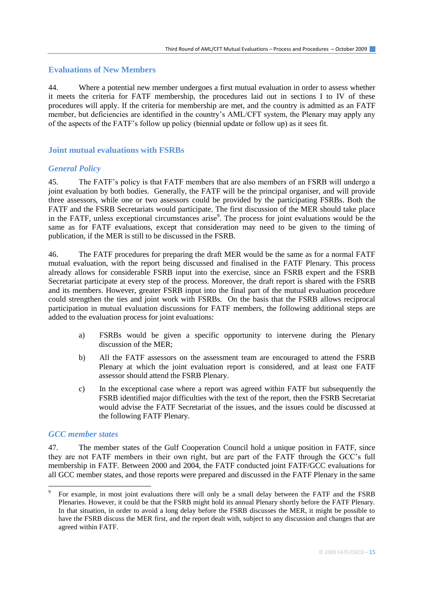#### **Evaluations of New Members**

44. Where a potential new member undergoes a first mutual evaluation in order to assess whether it meets the criteria for FATF membership, the procedures laid out in sections I to IV of these procedures will apply. If the criteria for membership are met, and the country is admitted as an FATF member, but deficiencies are identified in the country's AML/CFT system, the Plenary may apply any of the aspects of the FATF's follow up policy (biennial update or follow up) as it sees fit.

#### **Joint mutual evaluations with FSRBs**

#### *General Policy*

45. The FATF's policy is that FATF members that are also members of an FSRB will undergo a joint evaluation by both bodies. Generally, the FATF will be the principal organiser, and will provide three assessors, while one or two assessors could be provided by the participating FSRBs. Both the FATF and the FSRB Secretariats would participate. The first discussion of the MER should take place in the FATF, unless exceptional circumstances arise<sup>9</sup>. The process for joint evaluations would be the same as for FATF evaluations, except that consideration may need to be given to the timing of publication, if the MER is still to be discussed in the FSRB.

46. The FATF procedures for preparing the draft MER would be the same as for a normal FATF mutual evaluation, with the report being discussed and finalised in the FATF Plenary. This process already allows for considerable FSRB input into the exercise, since an FSRB expert and the FSRB Secretariat participate at every step of the process. Moreover, the draft report is shared with the FSRB and its members. However, greater FSRB input into the final part of the mutual evaluation procedure could strengthen the ties and joint work with FSRBs. On the basis that the FSRB allows reciprocal participation in mutual evaluation discussions for FATF members, the following additional steps are added to the evaluation process for joint evaluations:

- a) FSRBs would be given a specific opportunity to intervene during the Plenary discussion of the MER;
- b) All the FATF assessors on the assessment team are encouraged to attend the FSRB Plenary at which the joint evaluation report is considered, and at least one FATF assessor should attend the FSRB Plenary.
- c) In the exceptional case where a report was agreed within FATF but subsequently the FSRB identified major difficulties with the text of the report, then the FSRB Secretariat would advise the FATF Secretariat of the issues, and the issues could be discussed at the following FATF Plenary.

#### *GCC member states*

 $\overline{a}$ 

47. The member states of the Gulf Cooperation Council hold a unique position in FATF, since they are not FATF members in their own right, but are part of the FATF through the GCC's full membership in FATF. Between 2000 and 2004, the FATF conducted joint FATF/GCC evaluations for all GCC member states, and those reports were prepared and discussed in the FATF Plenary in the same

<sup>9</sup> For example, in most joint evaluations there will only be a small delay between the FATF and the FSRB Plenaries. However, it could be that the FSRB might hold its annual Plenary shortly before the FATF Plenary. In that situation, in order to avoid a long delay before the FSRB discusses the MER, it might be possible to have the FSRB discuss the MER first, and the report dealt with, subject to any discussion and changes that are agreed within FATF.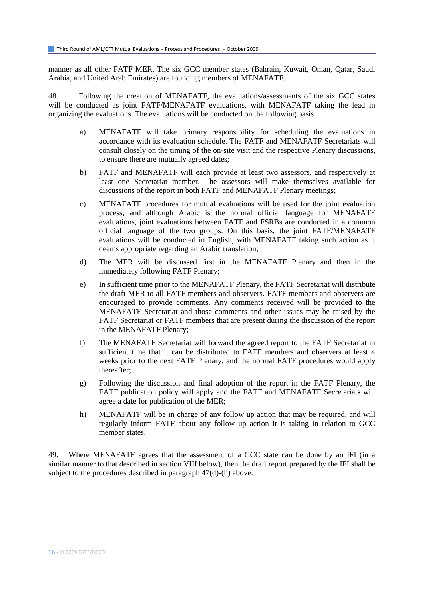manner as all other FATF MER. The six GCC member states (Bahrain, Kuwait, Oman, Qatar, Saudi Arabia, and United Arab Emirates) are founding members of MENAFATF.

48. Following the creation of MENAFATF, the evaluations/assessments of the six GCC states will be conducted as joint FATF/MENAFATF evaluations, with MENAFATF taking the lead in organizing the evaluations. The evaluations will be conducted on the following basis:

- a) MENAFATF will take primary responsibility for scheduling the evaluations in accordance with its evaluation schedule. The FATF and MENAFATF Secretariats will consult closely on the timing of the on-site visit and the respective Plenary discussions, to ensure there are mutually agreed dates;
- b) FATF and MENAFATF will each provide at least two assessors, and respectively at least one Secretariat member. The assessors will make themselves available for discussions of the report in both FATF and MENAFATF Plenary meetings;
- c) MENAFATF procedures for mutual evaluations will be used for the joint evaluation process, and although Arabic is the normal official language for MENAFATF evaluations, joint evaluations between FATF and FSRBs are conducted in a common official language of the two groups. On this basis, the joint FATF/MENAFATF evaluations will be conducted in English, with MENAFATF taking such action as it deems appropriate regarding an Arabic translation;
- d) The MER will be discussed first in the MENAFATF Plenary and then in the immediately following FATF Plenary;
- e) In sufficient time prior to the MENAFATF Plenary, the FATF Secretariat will distribute the draft MER to all FATF members and observers. FATF members and observers are encouraged to provide comments. Any comments received will be provided to the MENAFATF Secretariat and those comments and other issues may be raised by the FATF Secretariat or FATF members that are present during the discussion of the report in the MENAFATF Plenary;
- f) The MENAFATF Secretariat will forward the agreed report to the FATF Secretariat in sufficient time that it can be distributed to FATF members and observers at least 4 weeks prior to the next FATF Plenary, and the normal FATF procedures would apply thereafter;
- g) Following the discussion and final adoption of the report in the FATF Plenary, the FATF publication policy will apply and the FATF and MENAFATF Secretariats will agree a date for publication of the MER;
- h) MENAFATF will be in charge of any follow up action that may be required, and will regularly inform FATF about any follow up action it is taking in relation to GCC member states.

49. Where MENAFATF agrees that the assessment of a GCC state can be done by an IFI (in a similar manner to that described in section VIII below), then the draft report prepared by the IFI shall be subject to the procedures described in paragraph 47(d)-(h) above.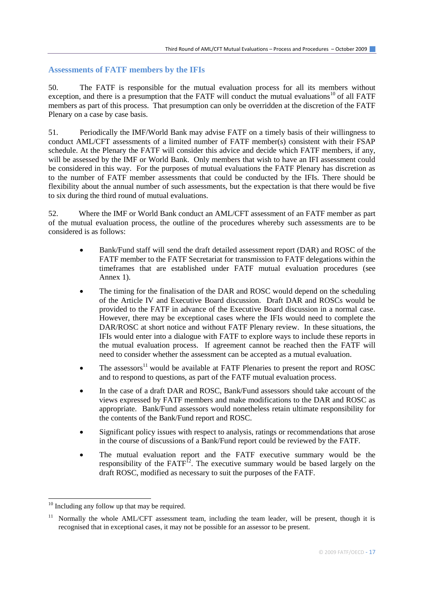#### **Assessments of FATF members by the IFIs**

50. The FATF is responsible for the mutual evaluation process for all its members without exception, and there is a presumption that the FATF will conduct the mutual evaluations<sup>10</sup> of all FATF members as part of this process. That presumption can only be overridden at the discretion of the FATF Plenary on a case by case basis.

51. Periodically the IMF/World Bank may advise FATF on a timely basis of their willingness to conduct AML/CFT assessments of a limited number of FATF member(s) consistent with their FSAP schedule. At the Plenary the FATF will consider this advice and decide which FATF members, if any, will be assessed by the IMF or World Bank. Only members that wish to have an IFI assessment could be considered in this way. For the purposes of mutual evaluations the FATF Plenary has discretion as to the number of FATF member assessments that could be conducted by the IFIs. There should be flexibility about the annual number of such assessments, but the expectation is that there would be five to six during the third round of mutual evaluations.

52. Where the IMF or World Bank conduct an AML/CFT assessment of an FATF member as part of the mutual evaluation process, the outline of the procedures whereby such assessments are to be considered is as follows:

- Bank/Fund staff will send the draft detailed assessment report (DAR) and ROSC of the FATF member to the FATF Secretariat for transmission to FATF delegations within the timeframes that are established under FATF mutual evaluation procedures (see Annex 1).
- The timing for the finalisation of the DAR and ROSC would depend on the scheduling of the Article IV and Executive Board discussion. Draft DAR and ROSCs would be provided to the FATF in advance of the Executive Board discussion in a normal case. However, there may be exceptional cases where the IFIs would need to complete the DAR/ROSC at short notice and without FATF Plenary review. In these situations, the IFIs would enter into a dialogue with FATF to explore ways to include these reports in the mutual evaluation process. If agreement cannot be reached then the FATF will need to consider whether the assessment can be accepted as a mutual evaluation.
- $\bullet$  The assessors<sup>11</sup> would be available at FATF Plenaries to present the report and ROSC and to respond to questions, as part of the FATF mutual evaluation process.
- In the case of a draft DAR and ROSC, Bank/Fund assessors should take account of the views expressed by FATF members and make modifications to the DAR and ROSC as appropriate. Bank/Fund assessors would nonetheless retain ultimate responsibility for the contents of the Bank/Fund report and ROSC.
- Significant policy issues with respect to analysis, ratings or recommendations that arose in the course of discussions of a Bank/Fund report could be reviewed by the FATF.
- The mutual evaluation report and the FATF executive summary would be the responsibility of the FATF<sup>12</sup>. The executive summary would be based largely on the draft ROSC, modified as necessary to suit the purposes of the FATF.

l

<sup>&</sup>lt;sup>10</sup> Including any follow up that may be required.

<sup>11</sup> Normally the whole AML/CFT assessment team, including the team leader, will be present, though it is recognised that in exceptional cases, it may not be possible for an assessor to be present.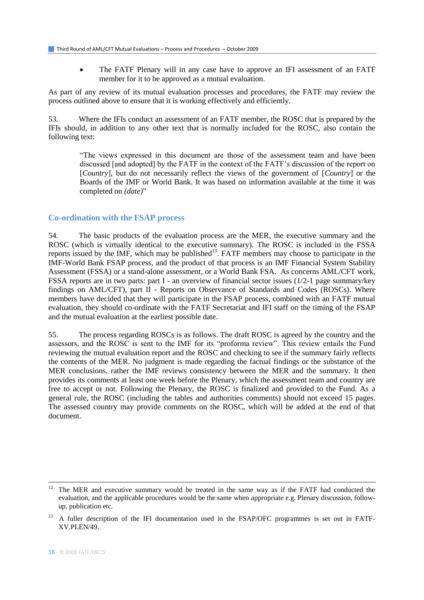The FATF Plenary will in any case have to approve an IFI assessment of an FATF member for it to be approved as a mutual evaluation.

As part of any review of its mutual evaluation processes and procedures, the FATF may review the process outlined above to ensure that it is working effectively and efficiently.

53. Where the IFIs conduct an assessment of an FATF member, the ROSC that is prepared by the IFIs should, in addition to any other text that is normally included for the ROSC, also contain the following text:

"The views expressed in this document are those of the assessment team and have been discussed [and adopted] by the FATF in the context of the FATF's discussion of the report on [*Country*], but do not necessarily reflect the views of the government of [*Country*] or the Boards of the IMF or World Bank. It was based on information available at the time it was completed on *(date)*"

#### **Co-ordination with the FSAP process**

54. The basic products of the evaluation process are the MER, the executive summary and the ROSC (which is virtually identical to the executive summary). The ROSC is included in the FSSA reports issued by the IMF, which may be published<sup>13</sup>. FATF members may choose to participate in the IMF-World Bank FSAP process, and the product of that process is an IMF Financial System Stability Assessment (FSSA) or a stand-alone assessment, or a World Bank FSA. As concerns AML/CFT work, FSSA reports are in two parts: part I - an overview of financial sector issues (1/2-1 page summary/key findings on AML/CFT), part II - Reports on Observance of Standards and Codes (ROSCs). Where members have decided that they will participate in the FSAP process, combined with an FATF mutual evaluation, they should co-ordinate with the FATF Secretariat and IFI staff on the timing of the FSAP and the mutual evaluation at the earliest possible date.

55. The process regarding ROSCs is as follows. The draft ROSC is agreed by the country and the assessors, and the ROSC is sent to the IMF for its "proforma review". This review entails the Fund reviewing the mutual evaluation report and the ROSC and checking to see if the summary fairly reflects the contents of the MER. No judgment is made regarding the factual findings or the substance of the MER conclusions, rather the IMF reviews consistency between the MER and the summary. It then provides its comments at least one week before the Plenary, which the assessment team and country are free to accept or not. Following the Plenary, the ROSC is finalized and provided to the Fund. As a general rule, the ROSC (including the tables and authorities comments) should not exceed 15 pages. The assessed country may provide comments on the ROSC, which will be added at the end of that document.

 $\overline{a}$ 

<sup>12</sup> The MER and executive summary would be treated in the same way as if the FATF had conducted the evaluation, and the applicable procedures would be the same when appropriate e.g. Plenary discussion, followup, publication etc.

<sup>13</sup> A fuller description of the IFI documentation used in the FSAP/OFC programmes is set out in FATF-XV.PLEN/49.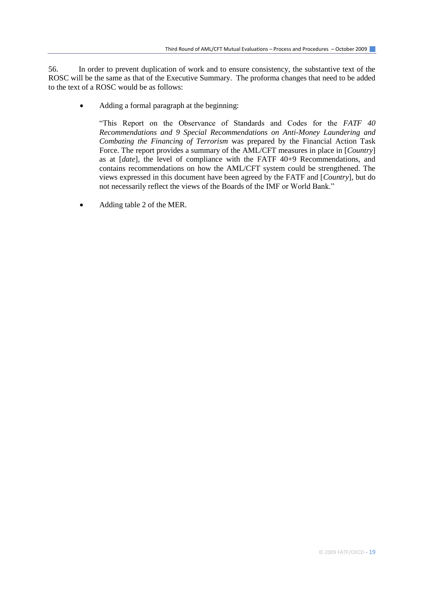56. In order to prevent duplication of work and to ensure consistency, the substantive text of the ROSC will be the same as that of the Executive Summary. The proforma changes that need to be added to the text of a ROSC would be as follows:

Adding a formal paragraph at the beginning:

"This Report on the Observance of Standards and Codes for the *FATF 40 Recommendations and 9 Special Recommendations on Anti-Money Laundering and Combating the Financing of Terrorism* was prepared by the Financial Action Task Force. The report provides a summary of the AML/CFT measures in place in [*Country*] as at [*date*], the level of compliance with the FATF 40+9 Recommendations, and contains recommendations on how the AML/CFT system could be strengthened. The views expressed in this document have been agreed by the FATF and [*Country*], but do not necessarily reflect the views of the Boards of the IMF or World Bank."

Adding table 2 of the MER.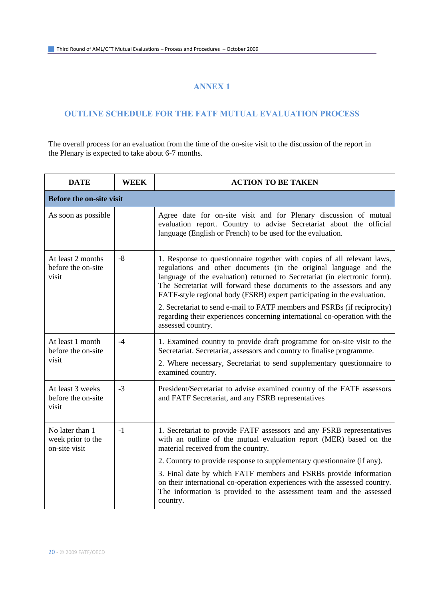#### **ANNEX 1**

#### **OUTLINE SCHEDULE FOR THE FATF MUTUAL EVALUATION PROCESS**

The overall process for an evaluation from the time of the on-site visit to the discussion of the report in the Plenary is expected to take about 6-7 months.

| <b>DATE</b>                                           | <b>WEEK</b> | <b>ACTION TO BE TAKEN</b>                                                                                                                                                                                                                                                                                                                                                                                                                                                                                                                                    |  |  |
|-------------------------------------------------------|-------------|--------------------------------------------------------------------------------------------------------------------------------------------------------------------------------------------------------------------------------------------------------------------------------------------------------------------------------------------------------------------------------------------------------------------------------------------------------------------------------------------------------------------------------------------------------------|--|--|
| <b>Before the on-site visit</b>                       |             |                                                                                                                                                                                                                                                                                                                                                                                                                                                                                                                                                              |  |  |
| As soon as possible                                   |             | Agree date for on-site visit and for Plenary discussion of mutual<br>evaluation report. Country to advise Secretariat about the official<br>language (English or French) to be used for the evaluation.                                                                                                                                                                                                                                                                                                                                                      |  |  |
| At least 2 months<br>before the on-site<br>visit      | $-8$        | 1. Response to questionnaire together with copies of all relevant laws,<br>regulations and other documents (in the original language and the<br>language of the evaluation) returned to Secretariat (in electronic form).<br>The Secretariat will forward these documents to the assessors and any<br>FATF-style regional body (FSRB) expert participating in the evaluation.<br>2. Secretariat to send e-mail to FATF members and FSRBs (if reciprocity)<br>regarding their experiences concerning international co-operation with the<br>assessed country. |  |  |
| At least 1 month<br>before the on-site<br>visit       | $-4$        | 1. Examined country to provide draft programme for on-site visit to the<br>Secretariat. Secretariat, assessors and country to finalise programme.<br>2. Where necessary, Secretariat to send supplementary questionnaire to<br>examined country.                                                                                                                                                                                                                                                                                                             |  |  |
| At least 3 weeks<br>before the on-site<br>visit       | $-3$        | President/Secretariat to advise examined country of the FATF assessors<br>and FATF Secretariat, and any FSRB representatives                                                                                                                                                                                                                                                                                                                                                                                                                                 |  |  |
| No later than 1<br>week prior to the<br>on-site visit | $-1$        | 1. Secretariat to provide FATF assessors and any FSRB representatives<br>with an outline of the mutual evaluation report (MER) based on the<br>material received from the country.<br>2. Country to provide response to supplementary questionnaire (if any).<br>3. Final date by which FATF members and FSRBs provide information<br>on their international co-operation experiences with the assessed country.<br>The information is provided to the assessment team and the assessed<br>country.                                                          |  |  |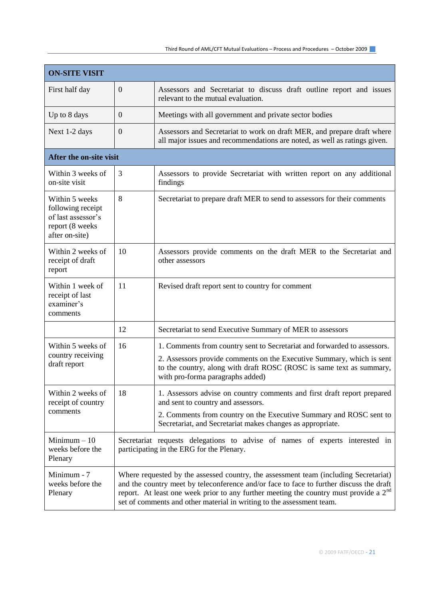| <b>ON-SITE VISIT</b>                                                                           |                                                                                                                                                                                                                                                                                                                                                     |                                                                                                                                                                                                                                                               |  |  |
|------------------------------------------------------------------------------------------------|-----------------------------------------------------------------------------------------------------------------------------------------------------------------------------------------------------------------------------------------------------------------------------------------------------------------------------------------------------|---------------------------------------------------------------------------------------------------------------------------------------------------------------------------------------------------------------------------------------------------------------|--|--|
| First half day                                                                                 | $\mathbf{0}$                                                                                                                                                                                                                                                                                                                                        | Assessors and Secretariat to discuss draft outline report and issues<br>relevant to the mutual evaluation.                                                                                                                                                    |  |  |
| Up to 8 days                                                                                   | $\mathbf{0}$                                                                                                                                                                                                                                                                                                                                        | Meetings with all government and private sector bodies                                                                                                                                                                                                        |  |  |
| Next 1-2 days                                                                                  | $\mathbf{0}$                                                                                                                                                                                                                                                                                                                                        | Assessors and Secretariat to work on draft MER, and prepare draft where<br>all major issues and recommendations are noted, as well as ratings given.                                                                                                          |  |  |
| After the on-site visit                                                                        |                                                                                                                                                                                                                                                                                                                                                     |                                                                                                                                                                                                                                                               |  |  |
| Within 3 weeks of<br>on-site visit                                                             | 3                                                                                                                                                                                                                                                                                                                                                   | Assessors to provide Secretariat with written report on any additional<br>findings                                                                                                                                                                            |  |  |
| Within 5 weeks<br>following receipt<br>of last assessor's<br>report (8 weeks<br>after on-site) | 8                                                                                                                                                                                                                                                                                                                                                   | Secretariat to prepare draft MER to send to assessors for their comments                                                                                                                                                                                      |  |  |
| Within 2 weeks of<br>receipt of draft<br>report                                                | 10                                                                                                                                                                                                                                                                                                                                                  | Assessors provide comments on the draft MER to the Secretariat and<br>other assessors                                                                                                                                                                         |  |  |
| Within 1 week of<br>receipt of last<br>examiner's<br>comments                                  | 11                                                                                                                                                                                                                                                                                                                                                  | Revised draft report sent to country for comment                                                                                                                                                                                                              |  |  |
|                                                                                                | 12                                                                                                                                                                                                                                                                                                                                                  | Secretariat to send Executive Summary of MER to assessors                                                                                                                                                                                                     |  |  |
| Within 5 weeks of<br>country receiving<br>draft report                                         | 16                                                                                                                                                                                                                                                                                                                                                  | 1. Comments from country sent to Secretariat and forwarded to assessors.<br>2. Assessors provide comments on the Executive Summary, which is sent<br>to the country, along with draft ROSC (ROSC is same text as summary,<br>with pro-forma paragraphs added) |  |  |
| Within 2 weeks of<br>receipt of country<br>comments                                            | 18                                                                                                                                                                                                                                                                                                                                                  | 1. Assessors advise on country comments and first draft report prepared<br>and sent to country and assessors.<br>2. Comments from country on the Executive Summary and ROSC sent to<br>Secretariat, and Secretariat makes changes as appropriate.             |  |  |
| Minimum $-10$<br>weeks before the<br>Plenary                                                   | Secretariat requests delegations to advise of names of experts interested in<br>participating in the ERG for the Plenary.                                                                                                                                                                                                                           |                                                                                                                                                                                                                                                               |  |  |
| Minimum - 7<br>weeks before the<br>Plenary                                                     | Where requested by the assessed country, the assessment team (including Secretariat)<br>and the country meet by teleconference and/or face to face to further discuss the draft<br>report. At least one week prior to any further meeting the country must provide a $2nd$<br>set of comments and other material in writing to the assessment team. |                                                                                                                                                                                                                                                               |  |  |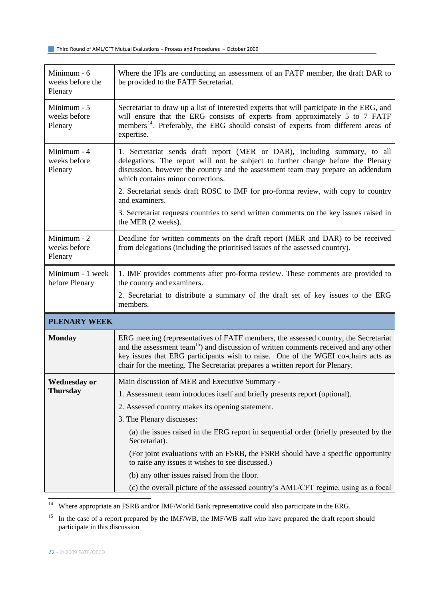| Minimum - 6<br>weeks before the<br>Plenary | Where the IFIs are conducting an assessment of an FATF member, the draft DAR to<br>be provided to the FATF Secretariat.                                                                                                                                                                                                                                        |  |  |  |
|--------------------------------------------|----------------------------------------------------------------------------------------------------------------------------------------------------------------------------------------------------------------------------------------------------------------------------------------------------------------------------------------------------------------|--|--|--|
| Minimum - 5<br>weeks before<br>Plenary     | Secretariat to draw up a list of interested experts that will participate in the ERG, and<br>will ensure that the ERG consists of experts from approximately 5 to 7 FATF<br>members <sup>14</sup> . Preferably, the ERG should consist of experts from different areas of<br>expertise.                                                                        |  |  |  |
| Minimum - 4<br>weeks before<br>Plenary     | 1. Secretariat sends draft report (MER or DAR), including summary, to all<br>delegations. The report will not be subject to further change before the Plenary<br>discussion, however the country and the assessment team may prepare an addendum<br>which contains minor corrections.                                                                          |  |  |  |
|                                            | 2. Secretariat sends draft ROSC to IMF for pro-forma review, with copy to country<br>and examiners.                                                                                                                                                                                                                                                            |  |  |  |
|                                            | 3. Secretariat requests countries to send written comments on the key issues raised in<br>the MER (2 weeks).                                                                                                                                                                                                                                                   |  |  |  |
| Minimum - 2<br>weeks before<br>Plenary     | Deadline for written comments on the draft report (MER and DAR) to be received<br>from delegations (including the prioritised issues of the assessed country).                                                                                                                                                                                                 |  |  |  |
| Minimum - 1 week<br>before Plenary         | 1. IMF provides comments after pro-forma review. These comments are provided to<br>the country and examiners.                                                                                                                                                                                                                                                  |  |  |  |
|                                            | 2. Secretariat to distribute a summary of the draft set of key issues to the ERG<br>members.                                                                                                                                                                                                                                                                   |  |  |  |
| <b>PLENARY WEEK</b>                        |                                                                                                                                                                                                                                                                                                                                                                |  |  |  |
| <b>Monday</b>                              | ERG meeting (representatives of FATF members, the assessed country, the Secretariat<br>and the assessment team <sup>15</sup> ) and discussion of written comments received and any other<br>key issues that ERG participants wish to raise. One of the WGEI co-chairs acts as<br>chair for the meeting. The Secretariat prepares a written report for Plenary. |  |  |  |
| <b>Wednesday or</b><br><b>Thursday</b>     | Main discussion of MER and Executive Summary -                                                                                                                                                                                                                                                                                                                 |  |  |  |
|                                            | 1. Assessment team introduces itself and briefly presents report (optional).                                                                                                                                                                                                                                                                                   |  |  |  |
|                                            | 2. Assessed country makes its opening statement.                                                                                                                                                                                                                                                                                                               |  |  |  |
|                                            | 3. The Plenary discusses:                                                                                                                                                                                                                                                                                                                                      |  |  |  |
|                                            | (a) the issues raised in the ERG report in sequential order (briefly presented by the<br>Secretariat).                                                                                                                                                                                                                                                         |  |  |  |
|                                            | (For joint evaluations with an FSRB, the FSRB should have a specific opportunity<br>to raise any issues it wishes to see discussed.)                                                                                                                                                                                                                           |  |  |  |
|                                            | (b) any other issues raised from the floor.                                                                                                                                                                                                                                                                                                                    |  |  |  |
|                                            | (c) the overall picture of the assessed country's AML/CFT regime, using as a focal                                                                                                                                                                                                                                                                             |  |  |  |

<sup>14</sup> Where appropriate an FSRB and/or IMF/World Bank representative could also participate in the ERG.

<sup>15</sup> In the case of a report prepared by the IMF/WB, the IMF/WB staff who have prepared the draft report should participate in this discussion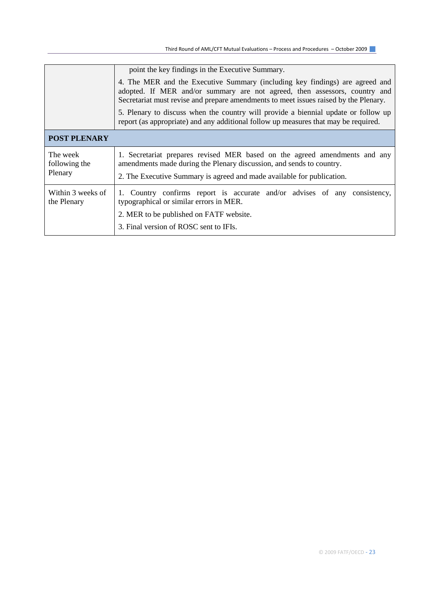Third Round of AML/CFT Mutual Evaluations – Process and Procedures – October 2009

|                                      | point the key findings in the Executive Summary.                                                                                                                                                                                                   |  |  |  |
|--------------------------------------|----------------------------------------------------------------------------------------------------------------------------------------------------------------------------------------------------------------------------------------------------|--|--|--|
|                                      | 4. The MER and the Executive Summary (including key findings) are agreed and<br>adopted. If MER and/or summary are not agreed, then assessors, country and<br>Secretariat must revise and prepare amendments to meet issues raised by the Plenary. |  |  |  |
|                                      | 5. Plenary to discuss when the country will provide a biennial update or follow up<br>report (as appropriate) and any additional follow up measures that may be required.                                                                          |  |  |  |
| <b>POST PLENARY</b>                  |                                                                                                                                                                                                                                                    |  |  |  |
| The week<br>following the<br>Plenary | 1. Secretariat prepares revised MER based on the agreed amendments and any<br>amendments made during the Plenary discussion, and sends to country.<br>2. The Executive Summary is agreed and made available for publication.                       |  |  |  |
| Within 3 weeks of<br>the Plenary     | 1. Country confirms report is accurate and/or advises of any consistency,<br>typographical or similar errors in MER.<br>2. MER to be published on FATF website.<br>3. Final version of ROSC sent to IFIs.                                          |  |  |  |
|                                      |                                                                                                                                                                                                                                                    |  |  |  |